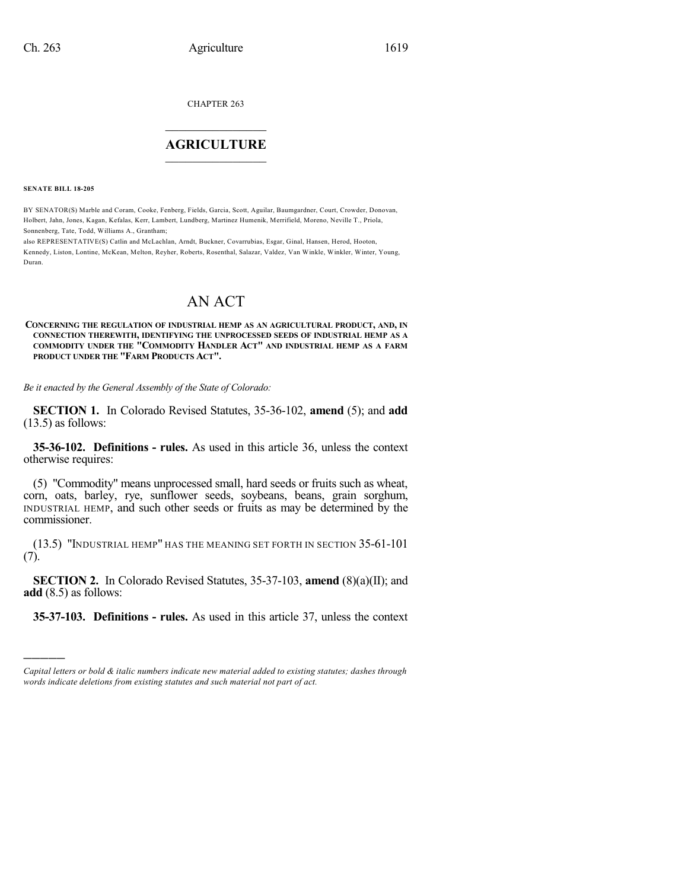CHAPTER 263

## $\overline{\phantom{a}}$  . The set of the set of the set of the set of the set of the set of the set of the set of the set of the set of the set of the set of the set of the set of the set of the set of the set of the set of the set o **AGRICULTURE**  $\_$   $\_$   $\_$   $\_$   $\_$   $\_$   $\_$   $\_$

**SENATE BILL 18-205**

)))))

BY SENATOR(S) Marble and Coram, Cooke, Fenberg, Fields, Garcia, Scott, Aguilar, Baumgardner, Court, Crowder, Donovan, Holbert, Jahn, Jones, Kagan, Kefalas, Kerr, Lambert, Lundberg, Martinez Humenik, Merrifield, Moreno, Neville T., Priola, Sonnenberg, Tate, Todd, Williams A., Grantham;

also REPRESENTATIVE(S) Catlin and McLachlan, Arndt, Buckner, Covarrubias, Esgar, Ginal, Hansen, Herod, Hooton, Kennedy, Liston, Lontine, McKean, Melton, Reyher, Roberts, Rosenthal, Salazar, Valdez, Van Winkle, Winkler, Winter, Young, Duran.

## AN ACT

**CONCERNING THE REGULATION OF INDUSTRIAL HEMP AS AN AGRICULTURAL PRODUCT, AND, IN CONNECTION THEREWITH, IDENTIFYING THE UNPROCESSED SEEDS OF INDUSTRIAL HEMP AS A COMMODITY UNDER THE "COMMODITY HANDLER ACT" AND INDUSTRIAL HEMP AS A FARM PRODUCT UNDER THE "FARM PRODUCTS ACT".**

*Be it enacted by the General Assembly of the State of Colorado:*

**SECTION 1.** In Colorado Revised Statutes, 35-36-102, **amend** (5); and **add** (13.5) as follows:

**35-36-102. Definitions - rules.** As used in this article 36, unless the context otherwise requires:

(5) "Commodity" means unprocessed small, hard seeds or fruits such as wheat, corn, oats, barley, rye, sunflower seeds, soybeans, beans, grain sorghum, INDUSTRIAL HEMP, and such other seeds or fruits as may be determined by the commissioner.

(13.5) "INDUSTRIAL HEMP" HAS THE MEANING SET FORTH IN SECTION 35-61-101 (7).

**SECTION 2.** In Colorado Revised Statutes, 35-37-103, **amend** (8)(a)(II); and **add** (8.5) as follows:

**35-37-103. Definitions - rules.** As used in this article 37, unless the context

*Capital letters or bold & italic numbers indicate new material added to existing statutes; dashes through words indicate deletions from existing statutes and such material not part of act.*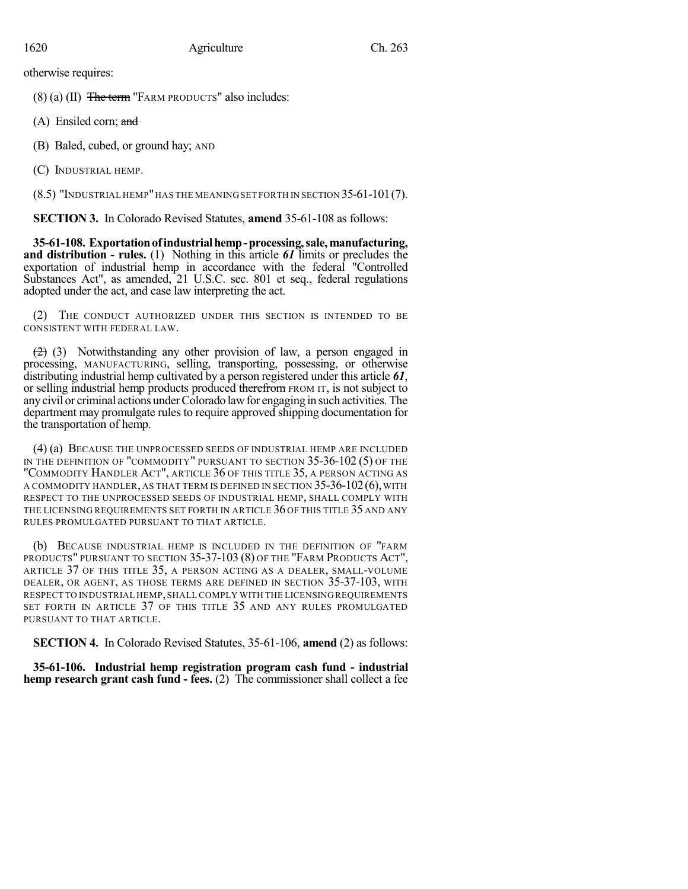otherwise requires:

 $(8)$  (a) (II) The term "FARM PRODUCTS" also includes:

- (A) Ensiled corn; and
- (B) Baled, cubed, or ground hay; AND
- (C) INDUSTRIAL HEMP.

(8.5) "INDUSTRIAL HEMP"HAS THE MEANINGSET FORTH IN SECTION 35-61-101(7).

**SECTION 3.** In Colorado Revised Statutes, **amend** 35-61-108 as follows:

**35-61-108. Exportationofindustrialhemp-processing,sale,manufacturing, and distribution - rules.** (1) Nothing in this article *61* limits or precludes the exportation of industrial hemp in accordance with the federal "Controlled Substances Act", as amended, 21 U.S.C. sec. 801 et seq., federal regulations adopted under the act, and case law interpreting the act.

(2) THE CONDUCT AUTHORIZED UNDER THIS SECTION IS INTENDED TO BE CONSISTENT WITH FEDERAL LAW.

 $(2)$  (3) Notwithstanding any other provision of law, a person engaged in processing, MANUFACTURING, selling, transporting, possessing, or otherwise distributing industrial hemp cultivated by a person registered under this article *61*, or selling industrial hemp products produced therefrom FROM IT, is not subject to any civil or criminal actions under Colorado law for engaging in such activities. The department may promulgate rules to require approved shipping documentation for the transportation of hemp.

(4) (a) BECAUSE THE UNPROCESSED SEEDS OF INDUSTRIAL HEMP ARE INCLUDED IN THE DEFINITION OF "COMMODITY" PURSUANT TO SECTION 35-36-102 (5) OF THE "COMMODITY HANDLER ACT", ARTICLE 36 OF THIS TITLE 35, A PERSON ACTING AS A COMMODITY HANDLER, AS THAT TERM IS DEFINED IN SECTION 35-36-102(6), WITH RESPECT TO THE UNPROCESSED SEEDS OF INDUSTRIAL HEMP, SHALL COMPLY WITH THE LICENSING REQUIREMENTS SET FORTH IN ARTICLE 36 OF THIS TITLE 35 AND ANY RULES PROMULGATED PURSUANT TO THAT ARTICLE.

(b) BECAUSE INDUSTRIAL HEMP IS INCLUDED IN THE DEFINITION OF "FARM PRODUCTS" PURSUANT TO SECTION 35-37-103 (8) OF THE "FARM PRODUCTS ACT", ARTICLE 37 OF THIS TITLE 35, A PERSON ACTING AS A DEALER, SMALL-VOLUME DEALER, OR AGENT, AS THOSE TERMS ARE DEFINED IN SECTION 35-37-103, WITH RESPECT TO INDUSTRIAL HEMP,SHALL COMPLY WITH THE LICENSING REQUIREMENTS SET FORTH IN ARTICLE 37 OF THIS TITLE 35 AND ANY RULES PROMULGATED PURSUANT TO THAT ARTICLE.

**SECTION 4.** In Colorado Revised Statutes, 35-61-106, **amend** (2) as follows:

**35-61-106. Industrial hemp registration program cash fund - industrial hemp research grant cash fund - fees.** (2) The commissioner shall collect a fee